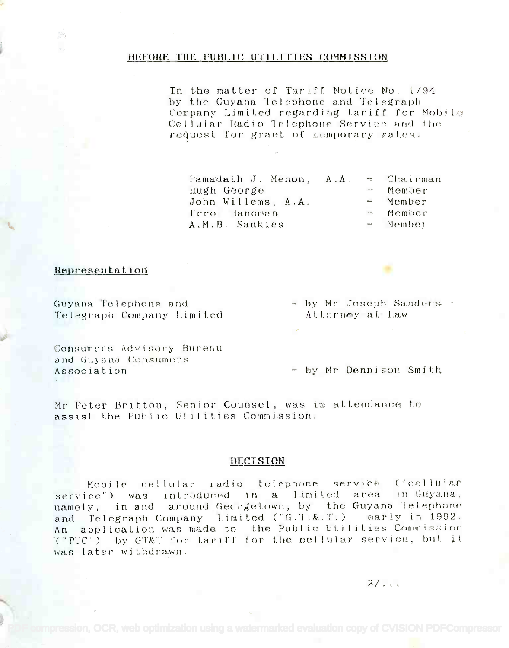#### BEFORE THE PUBLIC UTILITIES COMMISSION

In the matter of Tariff Notice No. 1/94 by the Guyana Telephone and Telegraph Company Limited regarding tariff for Mobile Cellular Radio Telephone Service and the request for grant of temporary rates.

Pamadath J. Menon, A.A. Hugh George John Willems, A.A. Errol Hanoman A.M.B. Sankies

Chairman  $\frac{1}{2}$ Member  $=$  Member  $\mathcal{L}_{\text{max}}$ Member  $-$  Member

#### Representation

Guyana Telephone and Telegraph Company Limited

Consumers Advisory Bureau and Guyana Consumers Association

 $-$  by Mr Joseph Sanders  $-$ Attorney-at-Law

- by Mr Dennison Smith

Mr Peter Britton, Senior Counsel, was in attendance to assist the Public Utilities Commission.

#### DECISION

Mobile cellular radio telephone service ("cellular service") was introduced in a limited area in Guyana, namely, in and around Georgetown, by the Guyana Telephone and Telegraph Company Limited ("G.T.&.T.) early in 1992. An application was made to the Public Utilities Commission ("PUC") by GT&T for tariff for the cellular service, but it was later withdrawn.

 $2/\sqrt{3}$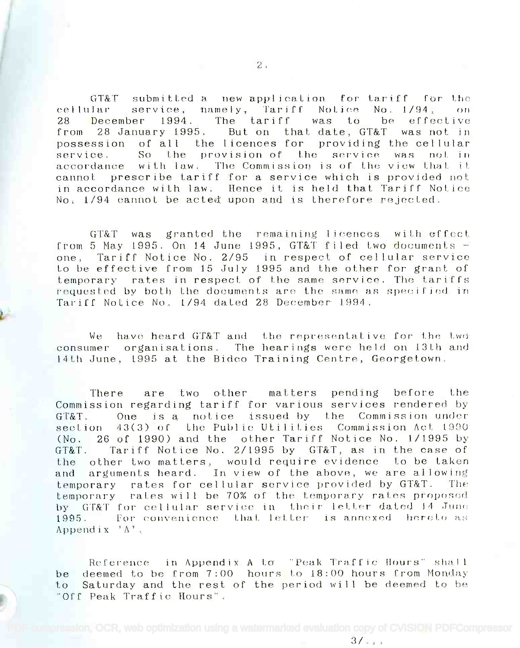GT&T submitted a new application for tariff for the cellular service, namely, Tariff Notice No. 1/94, on 28 December 1994. The tariff was to be effective 28 December 1994. The tariff was to be effective from 28 January 1995. But on that date, GT&T was not in from 28 January 1995. But on that date, GT&T was not in possession of all the licences for providing the cellular possession of all the licences for providing the cellular service. So the provision of the service was not in accordance with law. The Commission is of the view that it cannot prescribe tariff for a service which is provided not in accordance with law. Hence it is held that Tariff Notice in accordance with law. Hence it is held that Tariff Notice No. 1/94 cannot be acted upon and is therefore rejected.

GT&T was granted. the remaining licences with effect GT&T was granted the remaining licences with effect from 5 May 1995. On 14 June 1995, GT&T filed two documents one, Tariff Notice No. 2/95 in respect of cellular service one, Tariff Notice No. *2/95* in respect of cellular service to be effective from 15 July 1995 and the other for grant of to be effective from 15 July 1995 and the other for grant of temporary rates in respect of the same service. The tariffs temporary rates in respect of the same service. The tariffs requested by both the documents are the same as specified in Tariff Notice No. 1/94 dated 28 December 1994.

We have heard GT&T and the representative for the two consumer organisations. The hearings were held on 13th and 14th June, 1995 at the Bidco Training Centre, Georgetown. 14th June, 1995 at the Sidco Training Centre, Georgetown,

There are two other matters pending before the There are two other matters pending before the Commission regarding tariff for various services rendered by GMT. One is a notice issued by the Commission under GT&T. One is a notice issued by the Commission under section 43(3) of the Public Utilities. Commission Act 1990 (No. 26 of 1990) and the other Tariff Notice No. 1/1995 by (No. 26 of 1990) and the other Tariff Notice No. *1/1995* by GT&T. Tariff Notice No. 2/1995 by GT&T, as in the case of GT&T. Tariff Notice No. *2/1995* by GT&T, as in the case of the other two matters, would require evidence to be taken the other two matLers, would require evidence to be taken and arguments heard. In view of the above, we are allowing and arguments heard. In view of the above, we are allowing temporary rates for cellular service provided by GT&T. The temporary rates for cellular service provided by GT&T. The temporary rates will be 70% of the temporary rates proposed by GT&T for cellular service in their letter dated 14 June 1995. – For convenience that letter is annexed hereto as Appendix 'A'. Append ix' *A ' .*

Reference in Appendix A to "Peak Traffic Hours" shall **in the Indian Development Containst** be deemed to be from 7:00 hours to 18:00 hours from Monday be deemed to be from 7:00 hours to 18:00 hours [rom Monday to Saturday and the rest of the period will he deemed to be to Saturday and the rest of the period wil] be deemed to be "Off Peak Traffic Hours". "Off Peak Traffic Hours".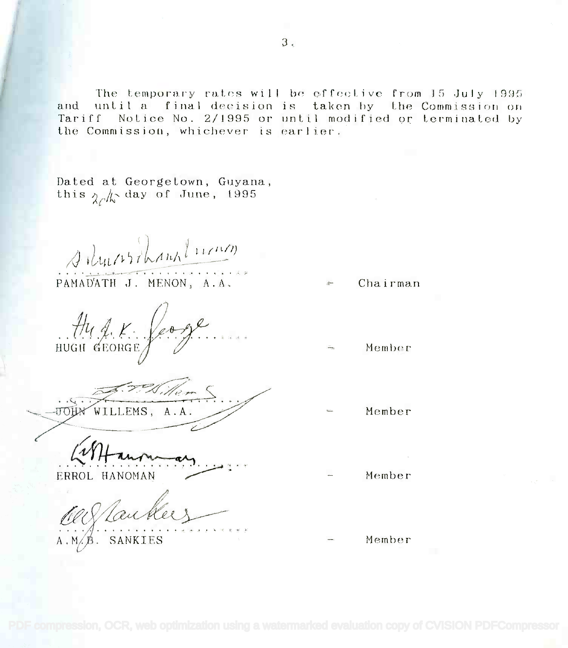$3<sub>1</sub>$ 

The temporary rates will be offective from 15 July 1995 and until a final decision is taken by the Commission on Tariff Notice No. 2/1995 or until modified or terminated by the Commission, whichever is earlier.

Dated at Georgetown, Guyana, this  $\gamma_c/\sqrt{2}$  day of June, 1995

situcistant lucion

PAMAD'ATH J. MENON, A.A.

Aug. K. feogl

William WILLEMS, A.A. **TTOHA** 

ERROL HANOMAN

f Laubler

- Chairman
- Member
- Member
- Member
- Member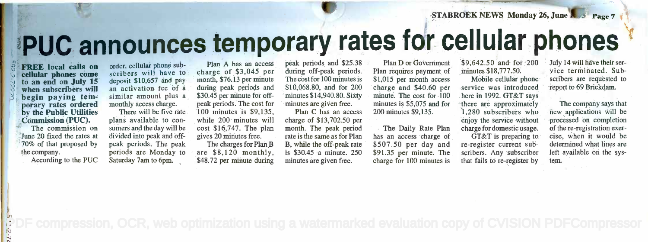STABROEK NEWS Monday 26, June R 3 Page 7 1

# PUC announces temporary rates for cellular phones **.!PUC announces temporary rates fr** cellular phones

 $\hat{S}$  **FREE** local calls on order, cell  $\sqrt{2}$  cellular phones come scriber to an end on July  $15$  deposit \$1  $\frac{1}{2}$  when subscribers will an begin paying tem-<br>porary rates ordered monthly ac by the Public Utilities Th Commission (PUC). Commission (PUC). begin paying tem-

11

The commission on The commission on June 20 fixed the rates at div 70% of that proposed by 70% of that proposed by the company. the company.

According to the PUC According to the PUC

order, cellular phone sub-<br>scribers will have to charge o deposit \$10,657 and pay month, \$<br>an activation fee of a during p similar amount plus a \$30.45 monthly access charge. monthly access charge. order, cellular phone suban activation fee of a

There will be five rate. 100 n plans available to con-plans available to consumers and the day will be cost divided into peak and off-divided into peak and offpeak periods. The peak The c periods are Monday to periods are Monday to Saturday 7am to 6pm. Saturday 7am to 6pm. .

Plan A has an access peak charge of \$3,045 per charge of \$3,045 per month, \$76.13 per minute The co during peak periods and during peak periods and \$30.45 per minute for offpeak periods. The cost for peak periods. The cost for 100 minutes is \$9,135, 100 minutes is \$9,135, while 200 minutes will while 200 minutes will cost \$16,747. The plan cost \$16,747. The plan gives 20 minutes free. gives 20 miriutes free. The charges for Plan B B, while the are \$8,120 monthly, are \$8, 120 monthly, \$48.72 per minute during minutes

peak periods and \$25.38 peak periods and \$25.38 ' during off-peak periods. during off-peak periods. The cost for  $100$  minutes is  $$1,0$ \$10,068.80, and for 200 \$10,068.80, and for 200 minutes \$14,940.80. Sixty minute minutes are given free. 'minutes are given free.

Plan C has an access Plan C has an access charge of \$13,702.50 per charge of \$13,702.50 per month. The peak period month. The peak period rate is the same as for Plan has an B, while the off-peak rate B, while the off-peak rate' is \$30.45 a minute. 250 is \$30.45 'a minute. 250 minutes are given free. minutes are given free.

Plan D or Government Plan D or Government Plan requires payment of Plan requires payment of \$1,015 per month access \$1,015 per month access charge and \$40.60 per charge and \$40.60 per minute. The cost for 100 here in minutes is \$5,075 and for minutes is \$5,075 and for 200 minutes \$9,135. 200 minutes \$9,135.

The Daily Rate Plan The Daily Rate Plan has an access charge of GT&T<br>\$507.50 per day and re-registe \$91.35 per minute. The \$91.35 per minute. The charge for 100 minutes is charge for 100 minutes is has an access charge of

\$9,642.50 and for 200 \$9,642.50 and for 200 minutes \$18,777.50. minutes \$18,777.50~

Mobile cellular phone Mobile cellular phone service was introduced service was introduced here in 1992. GT&T says here in 1992. GT&T says there are approximately there are approximately 1,280 subscribers who new appl enjoy the service without pro charge for domestic usage. charge for domestic usage. GT&T is preparing to cise, w re-register current sub-re-register current subscribers. Any subscriber scribers. Any subscriber that fails to re-register by tem.

July 14 will have their ser-" July 14will have their service terminated. Sub-vice terminated. Subscribers are requested to scribers are requested to report to 69 Brickdam.

\.'

The company says that The company says that new applications will be hew applications will be processed on completion , 'processed on completion of the re-registration exer-of the re-registration exercise, when it would be cise, when it would be determined what lines are determined what lines are left available on the sys-left available on the system. tem.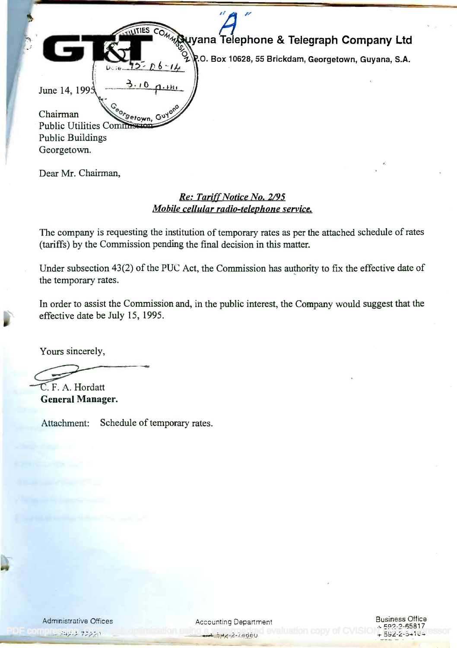| W<br><b>TILITIES</b><br>COMMUNICAL Telephone & Telegraph Company Ltd<br>P.O. Box 10628, 55 Brickdam, Georgetown, Guyana, S.A.<br>$3.10 \, \text{a} \cdot \text{m}$<br>June 14, 199:<br>"Setown, Guyano<br>Chairman<br>Public Utilities Commission<br><b>Public Buildings</b> |  |
|------------------------------------------------------------------------------------------------------------------------------------------------------------------------------------------------------------------------------------------------------------------------------|--|
| Georgetown.                                                                                                                                                                                                                                                                  |  |
|                                                                                                                                                                                                                                                                              |  |

Dear Mr. Chairman,

## Re: Tariff Notice No. 2/95 *Re: Tariff Notice No. 2/95* Mobile cellular radio-telephone service. *Mobile cellular radio-telephone service.*

The company is requesting the institution of temporary rates as per the attached schedule of rates The company is requesting the institution of temporary rates as per the attached schedule of rates (tariffs) by the Commission pending the final decision in this matter. (tariffs) by the Commission pending the final decision in this matter.

Under subsection  $43(2)$  of the PUC Act, the Commission has authority to fix the effective date of the temporary rates. the temporary rates.

In order to assist the Commission and, in the public interest, the Company would suggest that the In order to assist the Commission and, in the public interest, the Company would suggest that the effective date be July 15, 1995. effective date be July 15, 1995.

Yours sincerely,

C. F. A. Hordatt . F. A. Hordatt

General Manager. General Manager.

Attachment: Schedule of temporary rates.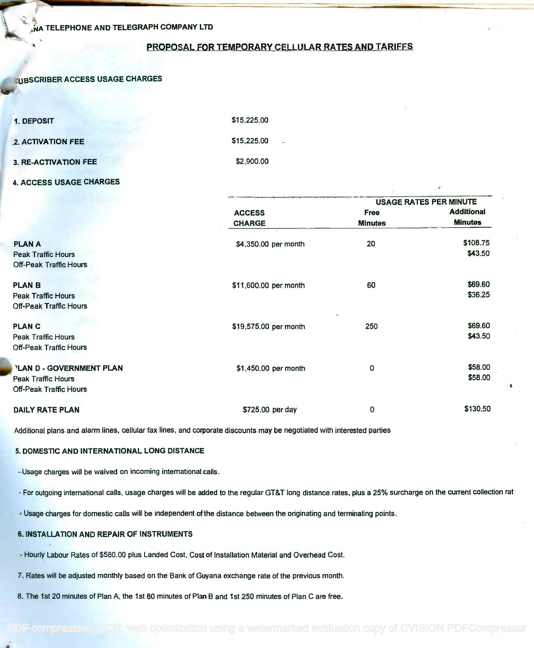#### PROPOSAL FOR TEMPORARY CELLULAR RATES AND TARIFFS

#### **KUBSCRIBER ACCESS USAGE CHARGES**

| 1. DEPOSIT                      | \$15,225.00                             |
|---------------------------------|-----------------------------------------|
| 2. ACTIVATION FEE               | \$15,225.00<br>$\overline{\phantom{a}}$ |
| <b>3. RE-ACTIVATION FEE</b>     | \$2,900.00                              |
| ___ _ . <del>_</del> _ ___ ____ |                                         |

#### 4. ACCESS USAGE CHARGES

|                               | <b>ACCESS</b>         | <b>USAGE RATES PER MINUTE</b> |                   |  |
|-------------------------------|-----------------------|-------------------------------|-------------------|--|
|                               |                       | Free                          | <b>Additional</b> |  |
|                               | <b>CHARGE</b>         | <b>Minutes</b>                | <b>Minutes</b>    |  |
| <b>PLANA</b>                  | \$4,350.00 per month  | 20                            | \$108.75          |  |
| <b>Peak Traffic Hours</b>     |                       |                               | \$43.50           |  |
| <b>Off-Peak Traffic Hours</b> |                       |                               |                   |  |
| <b>PLAN B</b>                 | \$11,600.00 per month | 60                            | \$69.60           |  |
| <b>Peak Traffic Hours</b>     |                       |                               | \$36.25           |  |
| <b>Off-Peak Traffic Hours</b> |                       | $\sim$                        |                   |  |
| <b>PLANC</b>                  | \$19,575.00 per month | 250                           | \$69.60           |  |
| <b>Peak Traffic Hours</b>     |                       |                               | \$43.50           |  |
| <b>Off-Peak Traffic Hours</b> |                       |                               |                   |  |
| PLAN D - GOVERNMENT PLAN      | \$1,450.00 per month  | 0                             | \$58.00           |  |
| Peak Traffic Hours            |                       |                               | \$58.00           |  |
| <b>Off-Peak Traffic Hours</b> |                       |                               |                   |  |
| <b>DAILY RATE PLAN</b>        | \$725.00 per day      | 0                             | \$130.50          |  |

Additional plans and alarm lines, cellular fax lines, and corporate discounts may be negotiated with interested parties

#### 5. DOMESTIC AND INTERNATIONAL LONG DISTANCE

- Usage charges will be waived on incoming international calls.

- For outgoing international calls, usage charges will be added to the regular GT&T long distance rates, plus a 25% surcharge on the current collection rat

- Usage charges for domestic calls will be independent of the distance between the originating and terminating points.

#### 6. INSTALLATION AND REPAIR OF INSTRUMENTS

- Hourly Labour Rates of \$580.00 plus Landed Cost, Cost of Installation Material and Overhead Cost.

7. Rates will be adjusted monthly based on the Bank of Guyana exchange rate of the previous month.

8. The 1st 20 minutes of Plan A, the 1st 80 minutes of Plan B and 1st 250 minutes of Plan C are free.